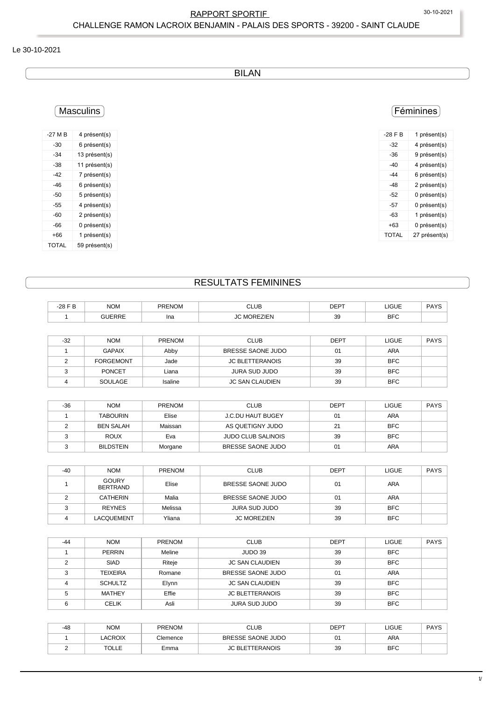## RAPPORT SPORTIF 30-10-2021 CHALLENGE RAMON LACROIX BENJAMIN - PALAIS DES SPORTS - 39200 - SAINT CLAUDE

#### Le 30-10-2021

BILAN

# Masculins

| $-27M$ B | 4 présent(s)  |
|----------|---------------|
| -30      | 6 présent(s)  |
| -34      | 13 présent(s) |
| -38      | 11 présent(s) |
| -42      | 7 présent(s)  |
| -46      | 6 présent(s)  |
| -50      | 5 présent(s)  |
| -55      | 4 présent(s)  |
| -60      | 2 présent(s)  |
| -66      | 0 présent(s)  |
| +66      | 1 présent(s)  |
| TOTAL    | 59 présent(s) |

## Féminines

| $-28$ F B | 1 présent(s)  |
|-----------|---------------|
| -32       | 4 présent(s)  |
| -36       | 9 présent(s)  |
| -40       | 4 présent(s)  |
| -44       | 6 présent(s)  |
| -48       | 2 présent(s)  |
| -52       | 0 présent(s)  |
| -57       | 0 présent(s)  |
| -63       | 1 présent(s)  |
| +63       | 0 présent(s)  |
| TOTAI     | 27 présent(s) |

## RESULTATS FEMININES

| 20E<br>۰∠∪<br>_____ | <b>NOM</b> | DDE.<br>ישנ | <b>CLUB</b><br>$ -$ | <b>DEDT</b> | 1011<br>םטטו<br>_____ | $\sim$ $\sim$ $\sim$<br>______ |
|---------------------|------------|-------------|---------------------|-------------|-----------------------|--------------------------------|
|                     |            | Ina         | .<br>∠ı⊏ı           | 39          | DEC<br>ы              |                                |

| $-32$ | <b>NOM</b>       | PRENOM  | <b>CLUB</b>            | <b>DEPT</b> | LIGUE      | <b>PAYS</b> |
|-------|------------------|---------|------------------------|-------------|------------|-------------|
|       | <b>GAPAIX</b>    | Abby    | BRESSE SAONE JUDO      | 01          | ARA        |             |
|       | <b>FORGEMONT</b> | Jade    | <b>JC BLETTERANOIS</b> | 39          | <b>BFC</b> |             |
|       | <b>PONCET</b>    | Liana   | JURA SUD JUDO          | 39          | <b>BFC</b> |             |
|       | SOULAGE          | Isaline | JC SAN CLAUDIEN        | 39          | <b>BFC</b> |             |

| $-36$ | <b>NOM</b>       | <b>PRENOM</b> | <b>CLUB</b>               | <b>DEPT</b> | LIGUE      | <b>PAYS</b> |
|-------|------------------|---------------|---------------------------|-------------|------------|-------------|
|       | <b>TABOURIN</b>  | Elise         | <b>J.C.DU HAUT BUGEY</b>  | 01          | <b>ARA</b> |             |
|       | BEN SALAH        | Maissan       | AS QUETIGNY JUDO          | 21          | <b>BFC</b> |             |
|       | <b>ROUX</b>      | Eva           | <b>JUDO CLUB SALINOIS</b> | 39          | <b>BFC</b> |             |
|       | <b>BILDSTEIN</b> | Morgane       | BRESSE SAONE JUDO         | 01          | ARA        |             |

| $-40$ | <b>NOM</b>                      | <b>PRENOM</b> | <b>CLUB</b>        | <b>DEPT</b> | <b>LIGUE</b> | <b>PAYS</b> |
|-------|---------------------------------|---------------|--------------------|-------------|--------------|-------------|
|       | <b>GOURY</b><br><b>BERTRAND</b> | Elise         | BRESSE SAONE JUDO  | 01          | <b>ARA</b>   |             |
| C     | CATHERIN                        | Malia         | BRESSE SAONE JUDO  | 01          | ARA          |             |
|       | <b>REYNES</b>                   | Melissa       | JURA SUD JUDO      | 39          | <b>BFC</b>   |             |
| Δ     | <b>LACQUEMENT</b>               | Yliana        | <b>JC MOREZIEN</b> | 39          | <b>BFC</b>   |             |

| $-44$ | <b>NOM</b>      | <b>PRENOM</b> | <b>CLUB</b>            | <b>DEPT</b> | <b>LIGUE</b> | <b>PAYS</b> |
|-------|-----------------|---------------|------------------------|-------------|--------------|-------------|
|       | <b>PERRIN</b>   | Meline        | JUDO 39                | 39          | <b>BFC</b>   |             |
|       | <b>SIAD</b>     | Riteje        | <b>JC SAN CLAUDIEN</b> | 39          | <b>BFC</b>   |             |
| ົ     | <b>TEIXEIRA</b> | Romane        | BRESSE SAONE JUDO      | 01          | <b>ARA</b>   |             |
|       | <b>SCHULTZ</b>  | Elynn         | <b>JC SAN CLAUDIEN</b> | 39          | <b>BFC</b>   |             |
|       | <b>MATHEY</b>   | Effie         | <b>JC BLETTERANOIS</b> | 39          | <b>BFC</b>   |             |
|       | <b>CELIK</b>    | Asli          | JURA SUD JUDO          | 39          | <b>BFC</b>   |             |

| -48 | <b>NOM</b> | <b>PRENOM</b> | CLUB                   | <b>DEPT</b> | LIGUE      | <b>PAYS</b> |
|-----|------------|---------------|------------------------|-------------|------------|-------------|
|     | LACROIX    | Clemence      | BRESSE SAONE JUDO      |             | ARA        |             |
|     | TOLLE      | Emma          | <b>JC BLETTERANOIS</b> | 39          | <b>BFC</b> |             |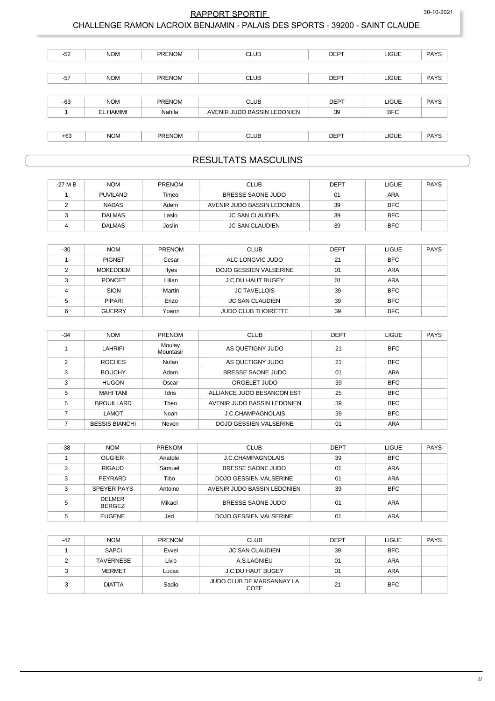30-10-2021

#### RAPPORT SPORTIF

#### CHALLENGE RAMON LACROIX BENJAMIN - PALAIS DES SPORTS - 39200 - SAINT CLAUDE

| $-52$ | <b>NOM</b> | <b>PRENOM</b> | <b>CLUB</b>                 | <b>DEPT</b> | <b>LIGUE</b> | <b>PAYS</b> |
|-------|------------|---------------|-----------------------------|-------------|--------------|-------------|
|       |            |               |                             |             |              |             |
| $-57$ | <b>NOM</b> | <b>PRENOM</b> | <b>CLUB</b>                 | <b>DEPT</b> | <b>LIGUE</b> | <b>PAYS</b> |
|       |            |               |                             |             |              |             |
| $-63$ | <b>NOM</b> | <b>PRENOM</b> | <b>CLUB</b>                 | <b>DEPT</b> | <b>LIGUE</b> | <b>PAYS</b> |
|       | EL HAMIMI  | Nahila        | AVENIR JUDO BASSIN LEDONIEN | 39          | <b>BFC</b>   |             |
|       |            |               |                             |             |              |             |
| $+63$ | <b>NOM</b> | <b>PRENOM</b> | <b>CLUB</b>                 | <b>DEPT</b> | <b>LIGUE</b> | <b>PAYS</b> |

## **RESULTATS MASCULINS**

| -27 M B | <b>NOM</b>      | <b>PRENOM</b> | <b>CLUB</b>                 | <b>DEPT</b> | LIGUE      | PAYS |
|---------|-----------------|---------------|-----------------------------|-------------|------------|------|
|         | <b>PUVILAND</b> | Timeo         | BRESSE SAONE JUDO           | 01          | ARA        |      |
|         | <b>NADAS</b>    | Adem          | AVENIR JUDO BASSIN LEDONIEN | 39          | <b>BFC</b> |      |
|         | <b>DALMAS</b>   | Laslo         | <b>JC SAN CLAUDIEN</b>      | 39          | <b>BFC</b> |      |
|         | <b>DALMAS</b>   | Joslin        | <b>JC SAN CLAUDIEN</b>      | 39          | <b>BFC</b> |      |

| $-30$ | <b>NOM</b>      | <b>PRENOM</b> | <b>CLUB</b>                | <b>DEPT</b> | <b>LIGUE</b> | <b>PAYS</b> |
|-------|-----------------|---------------|----------------------------|-------------|--------------|-------------|
|       | <b>PIGNET</b>   | Cesar         | ALC LONGVIC JUDO           | 21          | <b>BFC</b>   |             |
|       | <b>MOKEDDEM</b> | Ilyes         | DOJO GESSIEN VALSERINE     | 01          | ARA          |             |
|       | <b>PONCET</b>   | Lilian        | <b>J.C.DU HAUT BUGEY</b>   | 01          | ARA          |             |
|       | SION            | Martin        | <b>JC TAVELLOIS</b>        | 39          | <b>BFC</b>   |             |
|       | <b>PIPARI</b>   | Enzo          | <b>JC SAN CLAUDIEN</b>     | 39          | <b>BFC</b>   |             |
|       | <b>GUERRY</b>   | Yoann         | <b>JUDO CLUB THOIRETTE</b> | 39          | <b>BFC</b>   |             |

| $-34$         | <b>NOM</b>            | <b>PRENOM</b>       | <b>CLUB</b>                   | <b>DEPT</b> | <b>LIGUE</b> | <b>PAYS</b> |
|---------------|-----------------------|---------------------|-------------------------------|-------------|--------------|-------------|
|               | <b>LAHRIFI</b>        | Moulay<br>Mountasir | AS QUETIGNY JUDO              | 21          | <b>BFC</b>   |             |
| $\mathcal{P}$ | <b>ROCHES</b>         | Nolan               | AS QUETIGNY JUDO              | 21          | <b>BFC</b>   |             |
| 3             | <b>BOUCHY</b>         | Adam                | BRESSE SAONE JUDO             | 01          | <b>ARA</b>   |             |
| 3             | <b>HUGON</b>          | Oscar               | ORGELET JUDO                  | 39          | <b>BFC</b>   |             |
| 5             | <b>MAHI TANI</b>      | <b>Idris</b>        | ALLIANCE JUDO BESANCON EST    | 25          | <b>BFC</b>   |             |
| 5             | <b>BROUILLARD</b>     | Theo                | AVENIR JUDO BASSIN LEDONIEN   | 39          | <b>BFC</b>   |             |
|               | LAMOT                 | Noah                | <b>J.C.CHAMPAGNOLAIS</b>      | 39          | <b>BFC</b>   |             |
|               | <b>BESSIS BIANCHI</b> | Neven               | <b>DOJO GESSIEN VALSERINE</b> | 01          | <b>ARA</b>   |             |

| -38 | <b>NOM</b>                     | <b>PRENOM</b> | <b>CLUB</b>                 | DEPT | <b>LIGUE</b> | <b>PAYS</b> |
|-----|--------------------------------|---------------|-----------------------------|------|--------------|-------------|
|     | <b>OUGIER</b>                  | Anatole       | J.C.CHAMPAGNOLAIS           | 39   | <b>BFC</b>   |             |
|     | <b>RIGAUD</b>                  | Samuel        | BRESSE SAONE JUDO           | 01   | <b>ARA</b>   |             |
|     | PEYRARD                        | Tibo          | DOJO GESSIEN VALSERINE      | 01   | <b>ARA</b>   |             |
| ົ   | SPEYER PAYS                    | Antoine       | AVENIR JUDO BASSIN LEDONIEN | 39   | <b>BFC</b>   |             |
|     | <b>DELMER</b><br><b>BERGEZ</b> | Mikael        | BRESSE SAONE JUDO           | 01   | ARA          |             |
|     | <b>EUGENE</b>                  | Jed           | DOJO GESSIEN VALSERINE      | 01   | ARA          |             |

| $-42$ | <b>NOM</b>       | <b>PRENOM</b> | <b>CLUB</b>                       | <b>DEPT</b> | <b>LIGUE</b> | <b>PAYS</b> |
|-------|------------------|---------------|-----------------------------------|-------------|--------------|-------------|
|       | <b>SAPCI</b>     | Evvel         | JC SAN CLAUDIEN                   | 39          | <b>BFC</b>   |             |
|       | <b>TAVERNESE</b> | Livio         | A.S.LAGNIEU                       | 01          | <b>ARA</b>   |             |
|       | <b>MERMET</b>    | Lucas         | <b>J.C.DU HAUT BUGEY</b>          | 01          | ARA          |             |
|       | <b>DIATTA</b>    | Sadio         | JUDO CLUB DE MARSANNAY LA<br>COTE | 21          | <b>BFC</b>   |             |